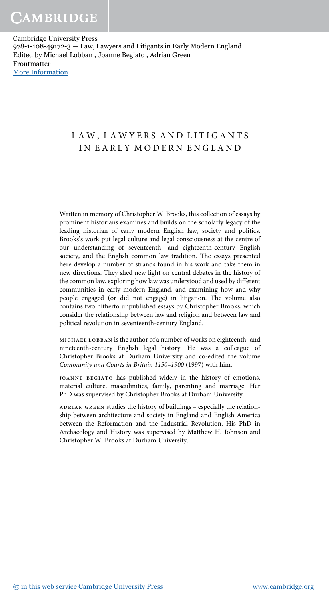### LAW, LAWYERS AND LITIGANTS IN EARLY MODERN ENGLAND

Written in memory of Christopher W. Brooks, this collection of essays by prominent historians examines and builds on the scholarly legacy of the leading historian of early modern English law, society and politics. Brooks's work put legal culture and legal consciousness at the centre of our understanding of seventeenth- and eighteenth-century English society, and the English common law tradition. The essays presented here develop a number of strands found in his work and take them in new directions. They shed new light on central debates in the history of the common law, exploring how law was understood and used by different communities in early modern England, and examining how and why people engaged (or did not engage) in litigation. The volume also contains two hitherto unpublished essays by Christopher Brooks, which consider the relationship between law and religion and between law and political revolution in seventeenth-century England.

michael lobban is the author of a number of works on eighteenth- and nineteenth-century English legal history. He was a colleague of Christopher Brooks at Durham University and co-edited the volume Community and Courts in Britain 1150–1900 (1997) with him.

joanne begiato has published widely in the history of emotions, material culture, masculinities, family, parenting and marriage. Her PhD was supervised by Christopher Brooks at Durham University.

adrian green studies the history of buildings - especially the relationship between architecture and society in England and English America between the Reformation and the Industrial Revolution. His PhD in Archaeology and History was supervised by Matthew H. Johnson and Christopher W. Brooks at Durham University.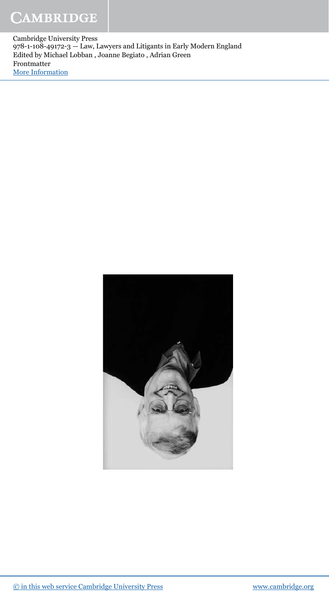# **CAMBRIDGE**

Cambridge University Press 978-1-108-49172-3 — Law, Lawyers and Litigants in Early Modern England Edited by Michael Lobban , Joanne Begiato , Adrian Green Frontmatter [More Information](www.cambridge.org/9781108491723)

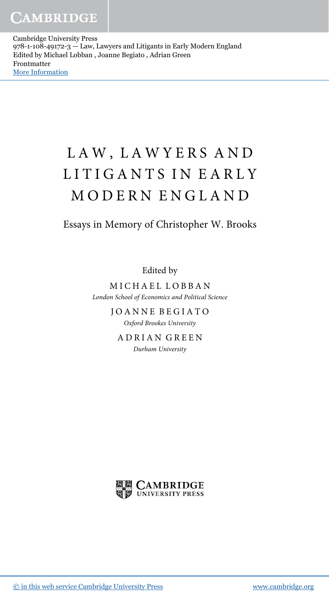# LAW, LAWYERS AND LITIGANTS IN EARLY MODERN ENGLAND

### Essays in Memory of Christopher W. Brooks

Edited by

MICHAEL LOBBAN London School of Economics and Political Science

> JOANNE BEGIATO Oxford Brookes University

ADRIAN GREEN Durham University

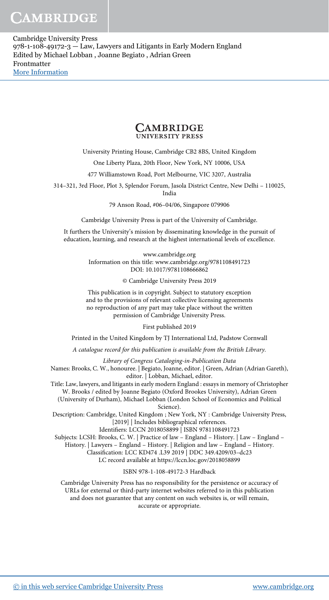CAMBRIDGE

Cambridge University Press 978-1-108-49172-3 — Law, Lawyers and Litigants in Early Modern England Edited by Michael Lobban , Joanne Begiato , Adrian Green Frontmatter [More Information](www.cambridge.org/9781108491723)

# **CAMBRIDGE**<br>UNIVERSITY PRESS

University Printing House, Cambridge CB2 8BS, United Kingdom

One Liberty Plaza, 20th Floor, New York, NY 10006, USA

477 Williamstown Road, Port Melbourne, VIC 3207, Australia

314–321, 3rd Floor, Plot 3, Splendor Forum, Jasola District Centre, New Delhi – 110025,

India

79 Anson Road, #06–04/06, Singapore 079906

Cambridge University Press is part of the University of Cambridge.

It furthers the University's mission by disseminating knowledge in the pursuit of education, learning, and research at the highest international levels of excellence.

> www.cambridge.org Information on this title: www.cambridge.org/9781108491723 DOI: 10.1017/9781108666862

> > © Cambridge University Press 2019

This publication is in copyright. Subject to statutory exception and to the provisions of relevant collective licensing agreements no reproduction of any part may take place without the written permission of Cambridge University Press.

First published 2019

Printed in the United Kingdom by TJ International Ltd, Padstow Cornwall

A catalogue record for this publication is available from the British Library.

Library of Congress Cataloging-in-Publication Data

Names: Brooks, C. W., honouree. | Begiato, Joanne, editor. | Green, Adrian (Adrian Gareth), editor. | Lobban, Michael, editor.

Title: Law, lawyers, and litigants in early modern England : essays in memory of Christopher W. Brooks / edited by Joanne Begiato (Oxford Brookes University), Adrian Green

(University of Durham), Michael Lobban (London School of Economics and Political Science).

Description: Cambridge, United Kingdom ; New York, NY : Cambridge University Press, [2019] | Includes bibliographical references.

Identifiers: LCCN 2018058899 | ISBN 9781108491723

Subjects: LCSH: Brooks, C. W. | Practice of law – England – History. | Law – England –

History. | Lawyers – England – History. | Religion and law – England – History. Classification: LCC KD474 .L39 2019 | DDC 349.4209/03–dc23

LC record available at https://lccn.loc.gov/2018058899

ISBN 978-1-108-49172-3 Hardback

Cambridge University Press has no responsibility for the persistence or accuracy of URLs for external or third-party internet websites referred to in this publication and does not guarantee that any content on such websites is, or will remain, accurate or appropriate.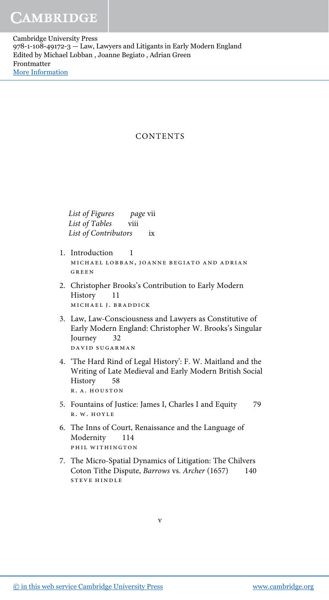#### CONTENTS

List of Figures page vii List of Tables viii List of Contributors ix

- 1. Introduction 1 michael lobban, joanne begiato and adrian GREEN
- 2. Christopher Brooks's Contribution to Early Modern History 11 michael j. braddick
- 3. Law, Law-Consciousness and Lawyers as Constitutive of Early Modern England: Christopher W. Brooks's Singular Journey 32 david sugarman
- 4. 'The Hard Rind of Legal History': F. W. Maitland and the Writing of Late Medieval and Early Modern British Social History 58 r. a. houston
- 5. Fountains of Justice: James I, Charles I and Equity 79 r. w. hoyle
- 6. The Inns of Court, Renaissance and the Language of Modernity 114 phil withington
- 7. The Micro-Spatial Dynamics of Litigation: The Chilvers Coton Tithe Dispute, Barrows vs. Archer (1657) 140 steve hindle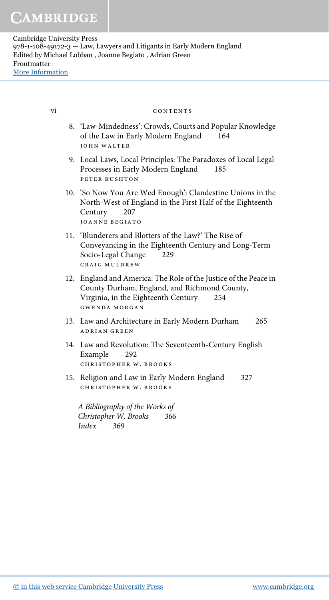vi CONTENTS

- 8. 'Law-Mindedness': Crowds, Courts and Popular Knowledge of the Law in Early Modern England 164 john walter
- 9. Local Laws, Local Principles: The Paradoxes of Local Legal Processes in Early Modern England 185 peter rushton
- 10. 'So Now You Are Wed Enough': Clandestine Unions in the North-West of England in the First Half of the Eighteenth Century 207 joanne begiato
- 11. 'Blunderers and Blotters of the Law?' The Rise of Conveyancing in the Eighteenth Century and Long-Term Socio-Legal Change 229 craig muldrew
- 12. England and America: The Role of the Justice of the Peace in County Durham, England, and Richmond County, Virginia, in the Eighteenth Century 254 gwenda morgan
- 13. Law and Architecture in Early Modern Durham 265 adrian green
- 14. Law and Revolution: The Seventeenth-Century English Example 292 christopher w. brooks
- 15. Religion and Law in Early Modern England 327 christopher w. brooks

A Bibliography of the Works of Christopher W. Brooks 366 Index 369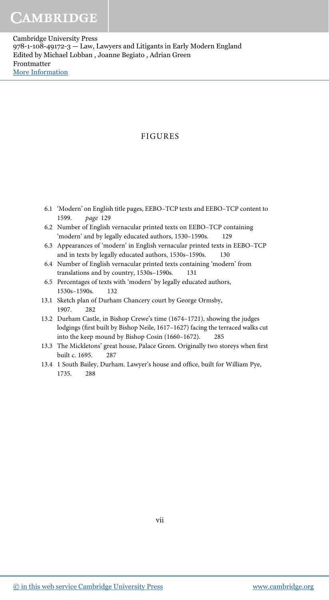#### FIGURES

- 6.1 'Modern' on English title pages, EEBO–TCP texts and EEBO–TCP content to 1599. page 129
- 6.2 Number of English vernacular printed texts on EEBO–TCP containing 'modern' and by legally educated authors, 1530–1590s. 129
- 6.3 Appearances of 'modern' in English vernacular printed texts in EEBO–TCP and in texts by legally educated authors, 1530s-1590s. 130
- 6.4 Number of English vernacular printed texts containing 'modern' from translations and by country, 1530s-1590s. 131
- 6.5 Percentages of texts with 'modern' by legally educated authors, 1530s–1590s. 132
- 13.1 Sketch plan of Durham Chancery court by George Ormsby, 1907. 282
- 13.2 Durham Castle, in Bishop Crewe's time (1674–1721), showing the judges lodgings (first built by Bishop Neile, 1617–1627) facing the terraced walks cut into the keep mound by Bishop Cosin (1660–1672). 285
- 13.3 The Mickletons' great house, Palace Green. Originally two storeys when first built c. 1695. 287
- 13.4 1 South Bailey, Durham. Lawyer's house and office, built for William Pye, 1735. 288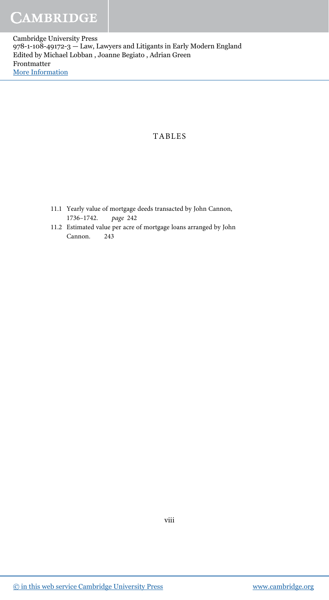### TABLES

- 11.1 Yearly value of mortgage deeds transacted by John Cannon, 1736–1742. page 242
- 11.2 Estimated value per acre of mortgage loans arranged by John Cannon. 243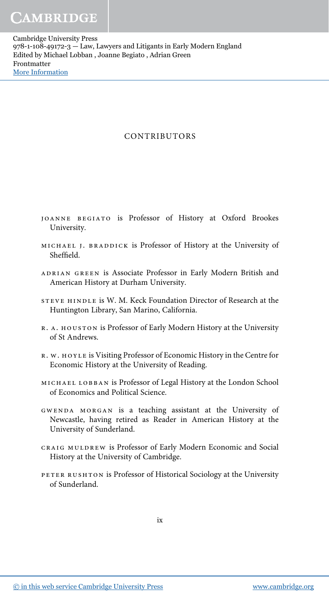### CONTRIBUTORS

- joanne begiato is Professor of History at Oxford Brookes University.
- michael j. braddick is Professor of History at the University of Sheffield.
- ADRIAN GREEN is Associate Professor in Early Modern British and American History at Durham University.
- STEVE HINDLE is W. M. Keck Foundation Director of Research at the Huntington Library, San Marino, California.
- r. a. houston is Professor of Early Modern History at the University of St Andrews.
- r. w. hoyle is Visiting Professor of Economic History in the Centre for Economic History at the University of Reading.
- michael lobban is Professor of Legal History at the London School of Economics and Political Science.
- gwenda morgan is a teaching assistant at the University of Newcastle, having retired as Reader in American History at the University of Sunderland.
- craig muldrew is Professor of Early Modern Economic and Social History at the University of Cambridge.
- PETER RUSHTON is Professor of Historical Sociology at the University of Sunderland.